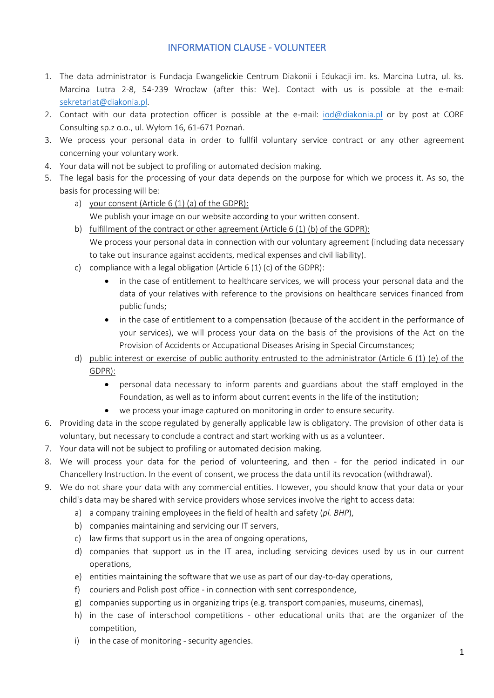## INFORMATION CLAUSE - VOLUNTEER

- 1. The data administrator is Fundacja Ewangelickie Centrum Diakonii i Edukacji im. ks. Marcina Lutra, ul. ks. Marcina Lutra 2-8, 54-239 Wrocław (after this: We). Contact with us is possible at the e-mail: [sekretariat@diakonia.pl.](mailto:sekretariat@diakonia.pl)
- 2. Contact with our data protection officer is possible at the e-mail: [iod@diakonia.pl](mailto:iod@diakonia.pl) or by post at CORE Consulting sp.z o.o., ul. Wyłom 16, 61-671 Poznań.
- 3. We process your personal data in order to fullfil voluntary service contract or any other agreement concerning your voluntary work.
- 4. Your data will not be subject to profiling or automated decision making.
- 5. The legal basis for the processing of your data depends on the purpose for which we process it. As so, the basis for processing will be:
	- a) your consent (Article 6 (1) (a) of the GDPR): We publish your image on our website according to your written consent.
	- b) fulfillment of the contract or other agreement (Article 6 (1) (b) of the GDPR): We process your personal data in connection with our voluntary agreement (including data necessary to take out insurance against accidents, medical expenses and civil liability).
	- c) compliance with a legal obligation (Article 6 (1) (c) of the GDPR):
		- in the case of entitlement to healthcare services, we will process your personal data and the data of your relatives with reference to the provisions on healthcare services financed from public funds;
		- in the case of entitlement to a compensation (because of the accident in the performance of your services), we will process your data on the basis of the provisions of the Act on the Provision of Accidents or Accupational Diseases Arising in Special Circumstances;
	- d) public interest or exercise of public authority entrusted to the administrator (Article 6 (1) (e) of the GDPR):
		- personal data necessary to inform parents and guardians about the staff employed in the Foundation, as well as to inform about current events in the life of the institution;
		- we process your image captured on monitoring in order to ensure security.
- 6. Providing data in the scope regulated by generally applicable law is obligatory. The provision of other data is voluntary, but necessary to conclude a contract and start working with us as a volunteer.
- 7. Your data will not be subject to profiling or automated decision making.
- 8. We will process your data for the period of volunteering, and then for the period indicated in our Chancellery Instruction. In the event of consent, we process the data until its revocation (withdrawal).
- 9. We do not share your data with any commercial entities. However, you should know that your data or your child's data may be shared with service providers whose services involve the right to access data:
	- a) a company training employees in the field of health and safety (*pl. BHP*),
	- b) companies maintaining and servicing our IT servers,
	- c) law firms that support us in the area of ongoing operations,
	- d) companies that support us in the IT area, including servicing devices used by us in our current operations,
	- e) entities maintaining the software that we use as part of our day-to-day operations,
	- f) couriers and Polish post office in connection with sent correspondence,
	- g) companies supporting us in organizing trips (e.g. transport companies, museums, cinemas),
	- h) in the case of interschool competitions other educational units that are the organizer of the competition,
	- i) in the case of monitoring security agencies.